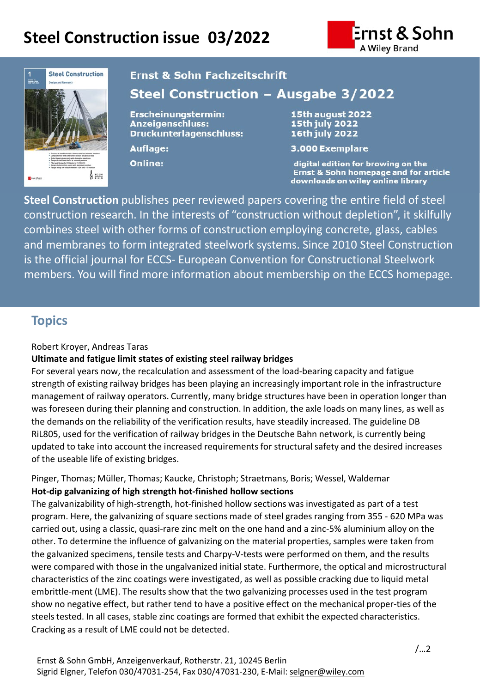# **Steel Construction issue 03/2022**





# **Ernst & Sohn Fachzeitschrift**

# Steel Construction - Ausgabe 3/2022

Erscheinungstermin: **Anzeigenschluss:** Druckunterlagenschluss:

**Auflage:** 

Online:

15th august 2022 **15th july 2022** 16th july 2022

3.000 Exemplare

digital edition for browing on the Ernst & Sohn homepage and for article downloads on wiley online library

**Steel Construction** publishes peer reviewed papers covering the entire field of steel construction research. In the interests of "construction without depletion", it skilfully combines steel with other forms of construction employing concrete, glass, cables and membranes to form integrated steelwork systems. Since 2010 Steel Construction is the official journal for ECCS- European Convention for Constructional Steelwork members. You will find more information about membership on the ECCS homepage.

### **Topics**

#### Robert Kroyer, Andreas Taras

### **Ultimate and fatigue limit states of existing steel railway bridges**

For several years now, the recalculation and assessment of the load-bearing capacity and fatigue strength of existing railway bridges has been playing an increasingly important role in the infrastructure management of railway operators. Currently, many bridge structures have been in operation longer than was foreseen during their planning and construction. In addition, the axle loads on many lines, as well as the demands on the reliability of the verification results, have steadily increased. The guideline DB RiL805, used for the verification of railway bridges in the Deutsche Bahn network, is currently being updated to take into account the increased requirements for structural safety and the desired increases of the useable life of existing bridges.

Pinger, Thomas; Müller, Thomas; Kaucke, Christoph; Straetmans, Boris; Wessel, Waldemar **Hot-dip galvanizing of high strength hot-finished hollow sections** 

The galvanizability of high-strength, hot-finished hollow sections was investigated as part of a test program. Here, the galvanizing of square sections made of steel grades ranging from 355 - 620 MPa was carried out, using a classic, quasi-rare zinc melt on the one hand and a zinc-5% aluminium alloy on the other. To determine the influence of galvanizing on the material properties, samples were taken from the galvanized specimens, tensile tests and Charpy-V-tests were performed on them, and the results were compared with those in the ungalvanized initial state. Furthermore, the optical and microstructural characteristics of the zinc coatings were investigated, as well as possible cracking due to liquid metal embrittle-ment (LME). The results show that the two galvanizing processes used in the test program show no negative effect, but rather tend to have a positive effect on the mechanical proper-ties of the steels tested. In all cases, stable zinc coatings are formed that exhibit the expected characteristics. Cracking as a result of LME could not be detected.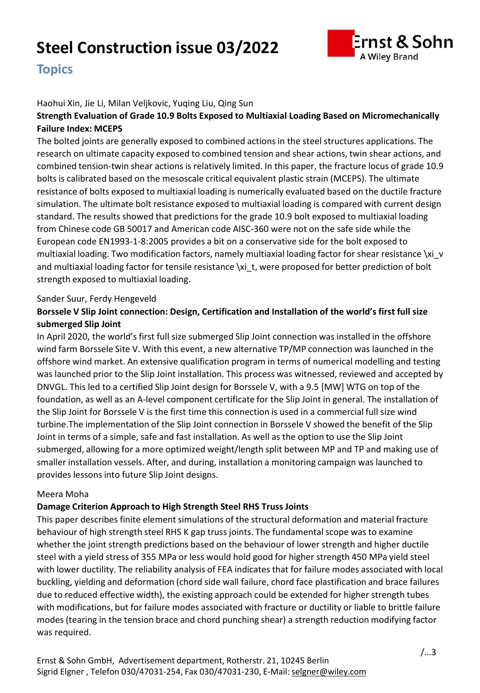# **Steel Construction issue 03/2022**



## **Topics**

#### Haohui Xin, Jie Li, Milan Veljkovic, Yuqing Liu, Qing Sun

#### . **Strength Evaluation of Grade 10.9 Bolts Exposed to Multiaxial Loading Based on Micromechanically Failure Index: MCEPS**

The bolted joints are generally exposed to combined actions in the steel structures applications. The research on ultimate capacity exposed to combined tension and shear actions, twin shear actions, and combined tension-twin shear actions is relatively limited. In this paper, the fracture locus of grade 10.9 bolts is calibrated based on the mesoscale critical equivalent plastic strain (MCEPS). The ultimate resistance of bolts exposed to multiaxial loading is numerically evaluated based on the ductile fracture simulation. The ultimate bolt resistance exposed to multiaxial loading is compared with current design standard. The results showed that predictions for the grade 10.9 bolt exposed to multiaxial loading from Chinese code GB 50017 and American code AISC-360 were not on the safe side while the European code EN1993-1-8:2005 provides a bit on a conservative side for the bolt exposed to multiaxial loading. Two modification factors, namely multiaxial loading factor for shear resistance \xi\_v and multiaxial loading factor for tensile resistance \xi\_t, were proposed for better prediction of bolt strength exposed to multiaxial loading.

#### Sander Suur, Ferdy Hengeveld

### **Borssele V Slip Joint connection: Design, Certification and Installation of the world's first full size submerged Slip Joint**

In April 2020, the world's first full size submerged Slip Joint connection was installed in the offshore wind farm Borssele Site V. With this event, a new alternative TP/MP connection was launched in the offshore wind market. An extensive qualification program in terms of numerical modelling and testing was launched prior to the Slip Joint installation. This process was witnessed, reviewed and accepted by DNVGL. This led to a certified Slip Joint design for Borssele V, with a 9.5 [MW] WTG on top of the foundation, as well as an A-level component certificate for the Slip Joint in general. The installation of the Slip Joint for Borssele V is the first time this connection is used in a commercial full size wind turbine.The implementation of the Slip Joint connection in Borssele V showed the benefit of the Slip Joint in terms of a simple, safe and fast installation. As well as the option to use the Slip Joint submerged, allowing for a more optimized weight/length split between MP and TP and making use of smaller installation vessels. After, and during, installation a monitoring campaign was launched to provides lessons into future Slip Joint designs.

#### Meera Moha

#### **Damage Criterion Approach to High Strength Steel RHS Truss Joints**

This paper describes finite element simulations of the structural deformation and material fracture behaviour of high strength steel RHS K gap truss joints. The fundamental scope was to examine whether the joint strength predictions based on the behaviour of lower strength and higher ductile steel with a yield stress of 355 MPa or less would hold good for higher strength 450 MPa yield steel with lower ductility. The reliability analysis of FEA indicates that for failure modes associated with local buckling, yielding and deformation (chord side wall failure, chord face plastification and brace failures due to reduced effective width), the existing approach could be extended for higher strength tubes with modifications, but for failure modes associated with fracture or ductility or liable to brittle failure modes (tearing in the tension brace and chord punching shear) a strength reduction modifying factor was required.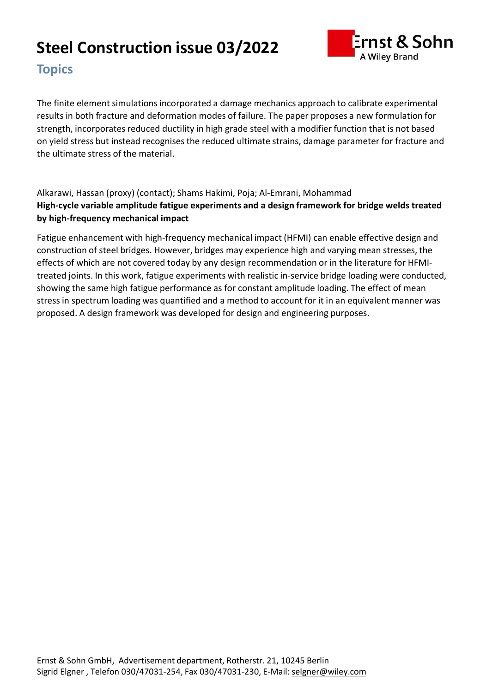# **Steel Construction issue 03/2022**



# **Topics**

results in both fracture and deformation modes of failure. The paper proposes a new formulation for The finite element simulations incorporated a damage mechanics approach to calibrate experimental strength, incorporates reduced ductility in high grade steel with a modifier function that is not based on yield stress but instead recognisesthe reduced ultimate strains, damage parameter for fracture and the ultimate stress of the material.

Alkarawi, Hassan (proxy) (contact); Shams Hakimi, Poja; Al-Emrani, Mohammad **High-cycle variable amplitude fatigue experiments and a design framework for bridge welds treated by high-frequency mechanical impact**

Fatigue enhancement with high-frequency mechanical impact (HFMI) can enable effective design and construction of steel bridges. However, bridges may experience high and varying mean stresses, the effects of which are not covered today by any design recommendation or in the literature for HFMItreated joints. In this work, fatigue experiments with realistic in-service bridge loading were conducted, showing the same high fatigue performance as for constant amplitude loading. The effect of mean stress in spectrum loading was quantified and a method to account for it in an equivalent manner was proposed. A design framework was developed for design and engineering purposes.